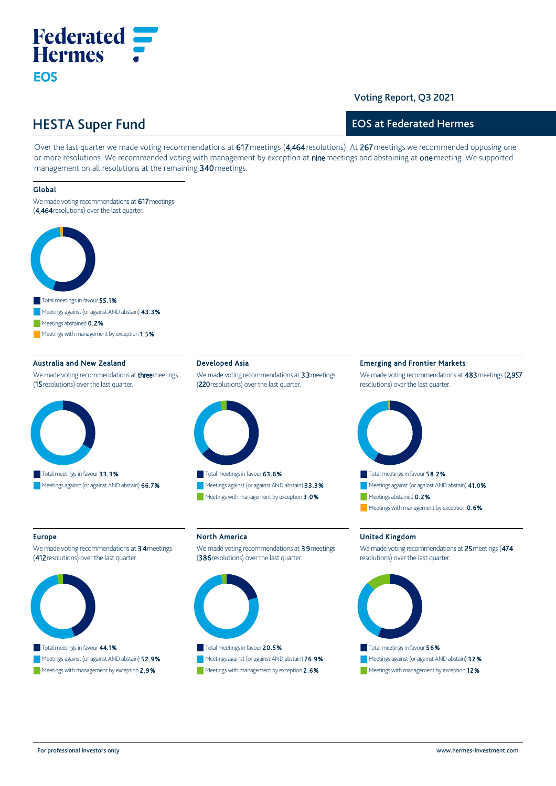# **Federated Hermes EOS**

### Voting Report, Q3 2021

# HESTA Super Fund

## EOS at Federated Hermes

Over the last quarter we made voting recommendations at 617 meetings (4,464 resolutions). At 267 meetings we recommended opposing one or more resolutions. We recommended voting with management by exception at nine meetings and abstaining at one meeting. We supported management on all resolutions at the remaining 340 meetings.

### Global

We made voting recommendations at 617 meetings (4,464 resolutions) over the last quarter.



Meetings abstained 0.2%

Meetings with management by exception 1.5%

### Australia and New Zealand

We made voting recommendations at **three** meetings (15 resolutions) over the last quarter.



#### Developed Asia

We made voting recommendations at 33 meetings (220 resolutions) over the last quarter.



Total meetings in favour 63.6% Meetings against (or against AND abstain) 33.3% Meetings with management by exception 3.0%

### We made voting recommendations at 483 meetings (2,957

Emerging and Frontier Markets

resolutions) over the last quarter.



#### Europe

We made voting recommendations at 34 meetings (412 resolutions) over the last quarter.



# Meetings against (or against AND abstain) **52.9%** Meetings with management by exception 2.9%

## North America

We made voting recommendations at 39 meetings (386 resolutions) over the last quarter.



Meetings against (or against AND abstain) 76.9% Meetings with management by exception 2.6%

### United Kingdom

We made voting recommendations at 25 meetings (474 resolutions) over the last quarter.